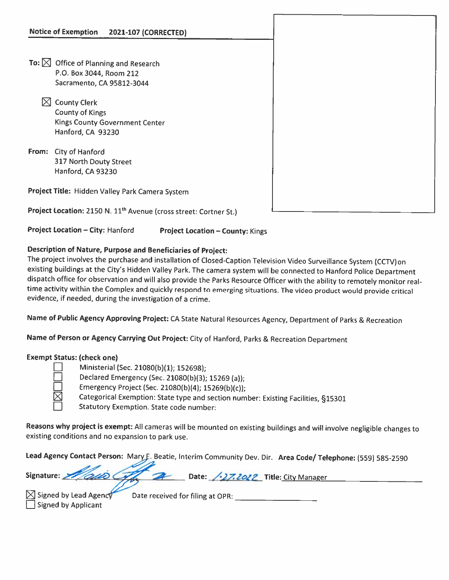- To:  $\boxtimes$  Office of Planning and Research P.O. Box 3044, Room 212 Sacramento, CA 95812-3044
	- $\boxtimes$  County Clerk County of Kings Kings County Government Center Hanford, CA 93230
- From: City of Hanford 317 North Douty Street Hanford, CA 93230

Project Title: Hidden Valley Park Camera System

Project Location: 2150 N. 11<sup>th</sup> Avenue (cross street: Cortner St.)

Project Location – City: Hanford Project Location – County: Kings

## Description of Nature, Purpose and Beneficiaries of Project:

The project involves the purchase and installation of Closed-Caption Television Video Surveillance System (CCTV)on existing buildings at the City's Hidden Valley Park. The camera system will be connected to Hanford Police Department dispatch office for observation and will also provide the Parks Resource Officer with the ability to remotely monitor real time activity within the Complex and quickly respond to emerging situations. The video product would provide critical evidence, if needed, during the investigation of <sup>a</sup> crime.

Name of Public Agency Approving Project; CA State Natural Resources Agency, Department of Parks & Recreation

Name of Person or Agency Carrying Out Project: City of Hanford, Parks & Recreation Department

## Exempt Status: (check one)

| Ministerial (Sec. 21080(b)(1); 152698); |  |
|-----------------------------------------|--|
|                                         |  |

D Declared Emergency (Sec. 21080(b)(3); <sup>15269</sup> (a));

Emergency Project (Sec. 21080(b)(4); 15269(b)(c));

Categorical Exemption: State type and section number: Existing Facilities, §15301

Statutory Exemption. State code number:

Reasons why project is exempt: All cameras will be mounted on existing buildings and will involve negligible changes to existing conditions and no expansion to park use.

Lead Agency Contact Person: Mary F. Beatie, Interim Community Dev. Dir. Area Code/ Telephone: (559) 585-2590

| Signature: 2000 Com 2 Date: 127.2022 Title: City Manager |  |
|----------------------------------------------------------|--|
|                                                          |  |

 $\sqrt{\frac{1}{1}}$  Signed by Applicant

 $\boxtimes$  Signed by Lead Agency Date received for filing at OPR: